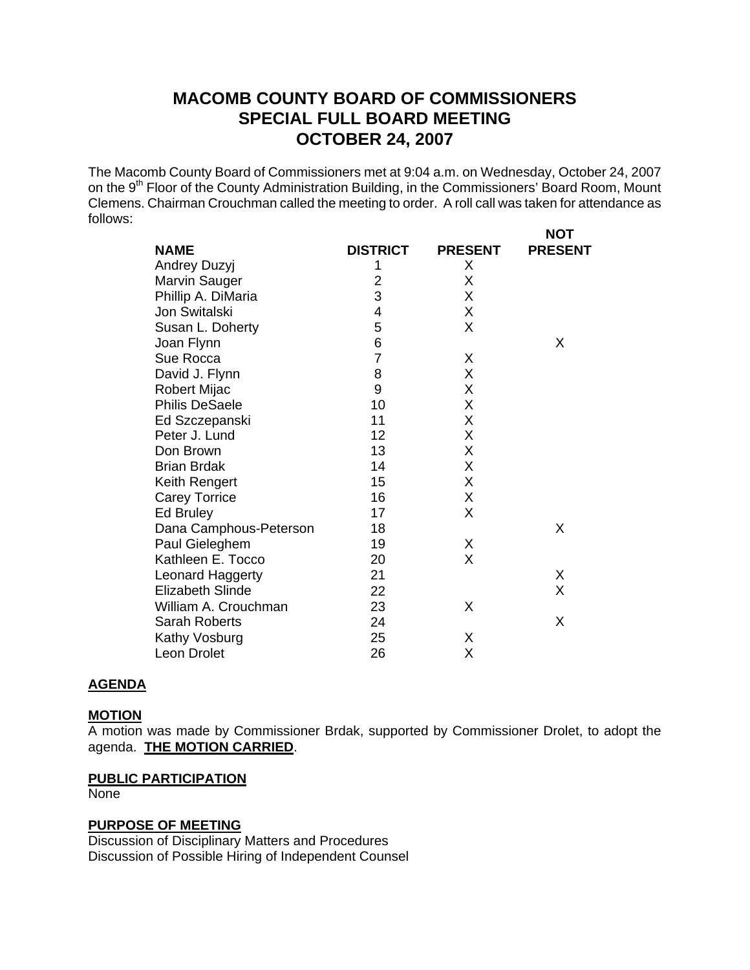# **MACOMB COUNTY BOARD OF COMMISSIONERS SPECIAL FULL BOARD MEETING OCTOBER 24, 2007**

The Macomb County Board of Commissioners met at 9:04 a.m. on Wednesday, October 24, 2007 on the 9<sup>th</sup> Floor of the County Administration Building, in the Commissioners' Board Room, Mount Clemens. Chairman Crouchman called the meeting to order. A roll call was taken for attendance as follows: **NOT** 

|                         |                 |                | ו שצו          |
|-------------------------|-----------------|----------------|----------------|
| <b>NAME</b>             | <b>DISTRICT</b> | <b>PRESENT</b> | <b>PRESENT</b> |
| Andrey Duzyj            | 1               | X              |                |
| <b>Marvin Sauger</b>    | $\overline{c}$  | X              |                |
| Phillip A. DiMaria      | 3               | X              |                |
| Jon Switalski           | 4               | X              |                |
| Susan L. Doherty        | 5               | X              |                |
| Joan Flynn              | 6               |                | X              |
| Sue Rocca               | $\overline{7}$  | X              |                |
| David J. Flynn          | 8               | X              |                |
| Robert Mijac            | 9               | X              |                |
| <b>Philis DeSaele</b>   | 10              | X              |                |
| Ed Szczepanski          | 11              | X              |                |
| Peter J. Lund           | 12              | X              |                |
| Don Brown               | 13              | X              |                |
| <b>Brian Brdak</b>      | 14              | X              |                |
| Keith Rengert           | 15              | X              |                |
| <b>Carey Torrice</b>    | 16              | X              |                |
| Ed Bruley               | 17              | X              |                |
| Dana Camphous-Peterson  | 18              |                | X              |
| Paul Gieleghem          | 19              | X              |                |
| Kathleen E. Tocco       | 20              | X              |                |
| Leonard Haggerty        | 21              |                | Χ              |
| <b>Elizabeth Slinde</b> | 22              |                | X              |
| William A. Crouchman    | 23              | X              |                |
| <b>Sarah Roberts</b>    | 24              |                | X              |
| Kathy Vosburg           | 25              | X              |                |
| Leon Drolet             | 26              | Χ              |                |
|                         |                 |                |                |

### **AGENDA**

#### **MOTION**

A motion was made by Commissioner Brdak, supported by Commissioner Drolet, to adopt the agenda. **THE MOTION CARRIED**.

# **PUBLIC PARTICIPATION**

None

#### **PURPOSE OF MEETING**

Discussion of Disciplinary Matters and Procedures Discussion of Possible Hiring of Independent Counsel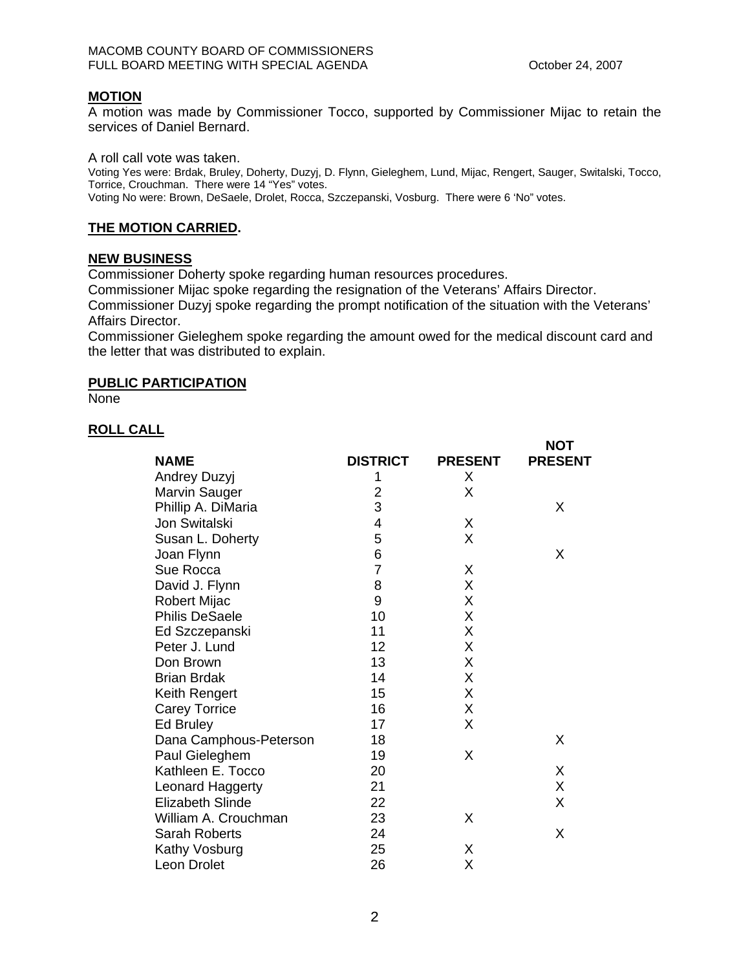$M$  $T$ 

# **MOTION**

A motion was made by Commissioner Tocco, supported by Commissioner Mijac to retain the services of Daniel Bernard.

A roll call vote was taken.

Voting Yes were: Brdak, Bruley, Doherty, Duzyj, D. Flynn, Gieleghem, Lund, Mijac, Rengert, Sauger, Switalski, Tocco, Torrice, Crouchman. There were 14 "Yes" votes. Voting No were: Brown, DeSaele, Drolet, Rocca, Szczepanski, Vosburg. There were 6 'No" votes.

# **THE MOTION CARRIED.**

### **NEW BUSINESS**

Commissioner Doherty spoke regarding human resources procedures.

Commissioner Mijac spoke regarding the resignation of the Veterans' Affairs Director.

Commissioner Duzyj spoke regarding the prompt notification of the situation with the Veterans' Affairs Director.

Commissioner Gieleghem spoke regarding the amount owed for the medical discount card and the letter that was distributed to explain.

### **PUBLIC PARTICIPATION**

**None** 

# **ROLL CALL**

|                         |                 |                | ו שצו          |
|-------------------------|-----------------|----------------|----------------|
| <b>NAME</b>             | <b>DISTRICT</b> | <b>PRESENT</b> | <b>PRESENT</b> |
| <b>Andrey Duzyj</b>     | 1               | X              |                |
| Marvin Sauger           | $\overline{2}$  | X              |                |
| Phillip A. DiMaria      | 3               |                | X              |
| Jon Switalski           | 4               | X              |                |
| Susan L. Doherty        | 5               | X              |                |
| Joan Flynn              | 6               |                | X              |
| Sue Rocca               | $\overline{7}$  | Χ              |                |
| David J. Flynn          | 8               | X              |                |
| <b>Robert Mijac</b>     | 9               | X              |                |
| <b>Philis DeSaele</b>   | 10              | X              |                |
| Ed Szczepanski          | 11              | Χ              |                |
| Peter J. Lund           | 12              | X              |                |
| Don Brown               | 13              | Χ              |                |
| <b>Brian Brdak</b>      | 14              | X              |                |
| Keith Rengert           | 15              | X              |                |
| <b>Carey Torrice</b>    | 16              | X              |                |
| Ed Bruley               | 17              | X              |                |
| Dana Camphous-Peterson  | 18              |                | X              |
| Paul Gieleghem          | 19              | X              |                |
| Kathleen E. Tocco       | 20              |                | X              |
| Leonard Haggerty        | 21              |                | X              |
| <b>Elizabeth Slinde</b> | 22              |                | X              |
| William A. Crouchman    | 23              | X              |                |
| Sarah Roberts           | 24              |                | X              |
| Kathy Vosburg           | 25              | X              |                |
| Leon Drolet             | 26              | Χ              |                |